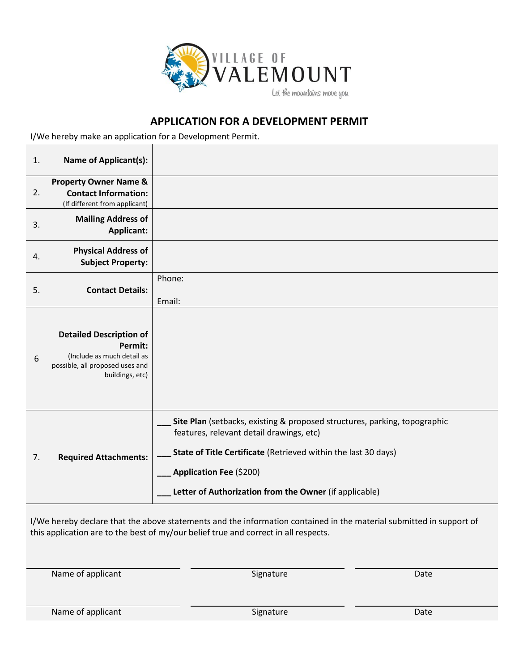

## **APPLICATION FOR A DEVELOPMENT PERMIT**

I/We hereby make an application for a Development Permit.

| 1. | <b>Name of Applicant(s):</b>                                                                                                  |                                                                                                                                                                                                                                                                              |
|----|-------------------------------------------------------------------------------------------------------------------------------|------------------------------------------------------------------------------------------------------------------------------------------------------------------------------------------------------------------------------------------------------------------------------|
| 2. | <b>Property Owner Name &amp;</b><br><b>Contact Information:</b><br>(If different from applicant)                              |                                                                                                                                                                                                                                                                              |
| 3. | <b>Mailing Address of</b><br><b>Applicant:</b>                                                                                |                                                                                                                                                                                                                                                                              |
| 4. | <b>Physical Address of</b><br><b>Subject Property:</b>                                                                        |                                                                                                                                                                                                                                                                              |
| 5. | <b>Contact Details:</b>                                                                                                       | Phone:<br>Email:                                                                                                                                                                                                                                                             |
| 6  | <b>Detailed Description of</b><br>Permit:<br>(Include as much detail as<br>possible, all proposed uses and<br>buildings, etc) |                                                                                                                                                                                                                                                                              |
| 7. | <b>Required Attachments:</b>                                                                                                  | Site Plan (setbacks, existing & proposed structures, parking, topographic<br>features, relevant detail drawings, etc)<br>State of Title Certificate (Retrieved within the last 30 days)<br>Application Fee (\$200)<br>Letter of Authorization from the Owner (if applicable) |

I/We hereby declare that the above statements and the information contained in the material submitted in support of this application are to the best of my/our belief true and correct in all respects.

Name of applicant Date Date Signature Date Date

Name of applicant and the Community Signature Signature Date Date Date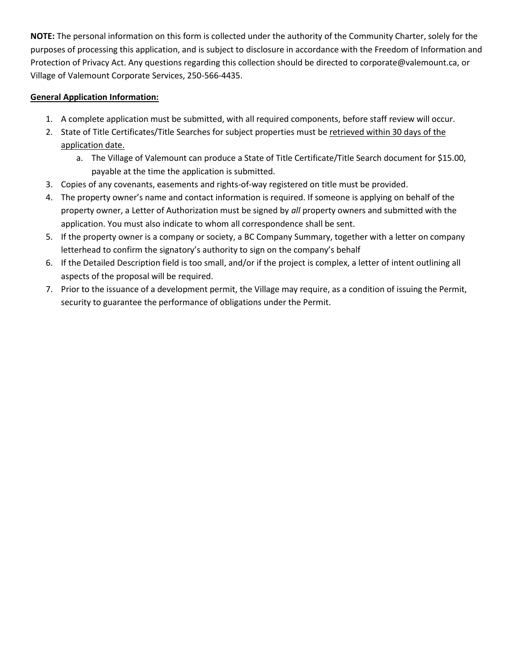**NOTE:** The personal information on this form is collected under the authority of the Community Charter, solely for the purposes of processing this application, and is subject to disclosure in accordance with the Freedom of Information and Protection of Privacy Act. Any questions regarding this collection should be directed to corporate@valemount.ca, or Village of Valemount Corporate Services, 250-566-4435.

## **General Application Information:**

- 1. A complete application must be submitted, with all required components, before staff review will occur.
- 2. State of Title Certificates/Title Searches for subject properties must be retrieved within 30 days of the application date.
	- a. The Village of Valemount can produce a State of Title Certificate/Title Search document for \$15.00, payable at the time the application is submitted.
- 3. Copies of any covenants, easements and rights-of-way registered on title must be provided.
- 4. The property owner's name and contact information is required. If someone is applying on behalf of the property owner, a Letter of Authorization must be signed by *all* property owners and submitted with the application. You must also indicate to whom all correspondence shall be sent.
- 5. If the property owner is a company or society, a BC Company Summary, together with a letter on company letterhead to confirm the signatory's authority to sign on the company's behalf
- 6. If the Detailed Description field is too small, and/or if the project is complex, a letter of intent outlining all aspects of the proposal will be required.
- 7. Prior to the issuance of a development permit, the Village may require, as a condition of issuing the Permit, security to guarantee the performance of obligations under the Permit.